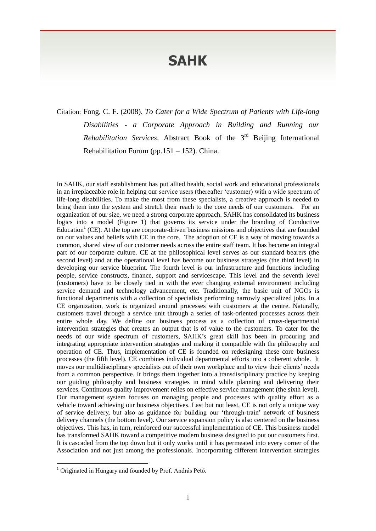## **SAHK**

Citation: Fong, C. F. (2008). *To Cater for a Wide Spectrum of Patients with Life-long Disabilities - a Corporate Approach in Building and Running our*  Rehabilitation Services. Abstract Book of the 3<sup>rd</sup> Beijing International Rehabilitation Forum (pp.151 – 152). China.

In SAHK, our staff establishment has put allied health, social work and educational professionals in an irreplaceable role in helping our service users (thereafter 'customer) with a wide spectrum of life-long disabilities. To make the most from these specialists, a creative approach is needed to bring them into the system and stretch their reach to the core needs of our customers. For an organization of our size, we need a strong corporate approach. SAHK has consolidated its business logics into a model (Figure 1) that governs its service under the branding of Conductive Education<sup>1</sup> (CE). At the top are corporate-driven business missions and objectives that are founded on our values and beliefs with CE in the core. The adoption of CE is a way of moving towards a common, shared view of our customer needs across the entire staff team. It has become an integral part of our corporate culture. CE at the philosophical level serves as our standard bearers (the second level) and at the operational level has become our business strategies (the third level) in developing our service blueprint. The fourth level is our infrastructure and functions including people, service constructs, finance, support and servicescape. This level and the seventh level (customers) have to be closely tied in with the ever changing external environment including service demand and technology advancement, etc. Traditionally, the basic unit of NGOs is functional departments with a collection of specialists performing narrowly specialized jobs. In a CE organization, work is organized around processes with customers at the centre. Naturally, customers travel through a service unit through a series of task-oriented processes across their entire whole day. We define our business process as a collection of cross-departmental intervention strategies that creates an output that is of value to the customers. To cater for the needs of our wide spectrum of customers, SAHK's great skill has been in procuring and integrating appropriate intervention strategies and making it compatible with the philosophy and operation of CE. Thus, implementation of CE is founded on redesigning these core business processes (the fifth level). CE combines individual departmental efforts into a coherent whole. It moves our multidisciplinary specialists out of their own workplace and to view their clients' needs from a common perspective. It brings them together into a transdisciplinary practice by keeping our guiding philosophy and business strategies in mind while planning and delivering their services. Continuous quality improvement relies on effective service management (the sixth level). Our management system focuses on managing people and processes with quality effort as a vehicle toward achieving our business objectives. Last but not least, CE is not only a unique way of service delivery, but also as guidance for building our 'through-train' network of business delivery channels (the bottom level). Our service expansion policy is also centered on the business objectives. This has, in turn, reinforced our successful implementation of CE. This business model has transformed SAHK toward a competitive modern business designed to put our customers first. It is cascaded from the top down but it only works until it has permeated into every corner of the Association and not just among the professionals. Incorporating different intervention strategies

 $\overline{a}$ 

<sup>&</sup>lt;sup>1</sup> Originated in Hungary and founded by Prof. András Pető.